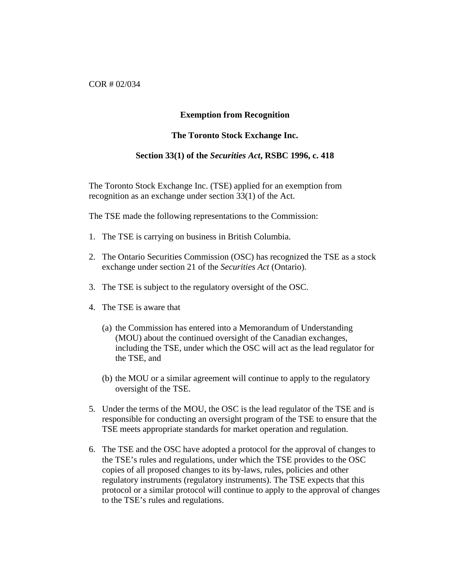COR # 02/034

## **Exemption from Recognition**

## **The Toronto Stock Exchange Inc.**

## **Section 33(1) of the** *Securities Act***, RSBC 1996, c. 418**

The Toronto Stock Exchange Inc. (TSE) applied for an exemption from recognition as an exchange under section 33(1) of the Act.

The TSE made the following representations to the Commission:

- 1. The TSE is carrying on business in British Columbia.
- 2. The Ontario Securities Commission (OSC) has recognized the TSE as a stock exchange under section 21 of the *Securities Act* (Ontario).
- 3. The TSE is subject to the regulatory oversight of the OSC.
- 4. The TSE is aware that
	- (a) the Commission has entered into a Memorandum of Understanding (MOU) about the continued oversight of the Canadian exchanges, including the TSE, under which the OSC will act as the lead regulator for the TSE, and
	- (b) the MOU or a similar agreement will continue to apply to the regulatory oversight of the TSE.
- 5. Under the terms of the MOU, the OSC is the lead regulator of the TSE and is responsible for conducting an oversight program of the TSE to ensure that the TSE meets appropriate standards for market operation and regulation.
- 6. The TSE and the OSC have adopted a protocol for the approval of changes to the TSE's rules and regulations, under which the TSE provides to the OSC copies of all proposed changes to its by-laws, rules, policies and other regulatory instruments (regulatory instruments). The TSE expects that this protocol or a similar protocol will continue to apply to the approval of changes to the TSE's rules and regulations.